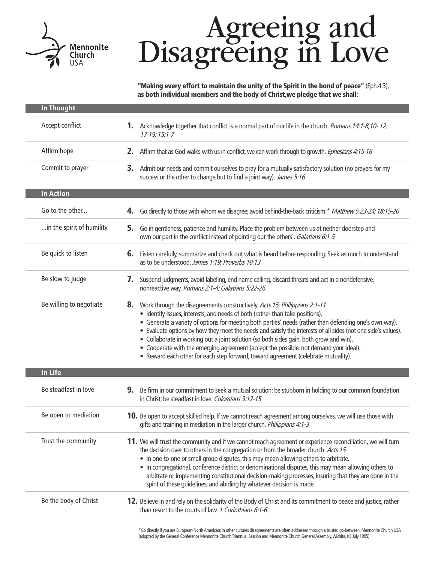

# Agreeing and<br>Disagreeing in Love

"Making every effort to maintain the unity of the Spirit in the bond of peace" (Eph.4:3), as both individual members and the body of Christ,we pledge that we shall:

| <b>In Thought</b>         |                                                                                                                                                                                                                                                                                                                                                                                                                                                                                                                                                                                                                                                                       |
|---------------------------|-----------------------------------------------------------------------------------------------------------------------------------------------------------------------------------------------------------------------------------------------------------------------------------------------------------------------------------------------------------------------------------------------------------------------------------------------------------------------------------------------------------------------------------------------------------------------------------------------------------------------------------------------------------------------|
| Accept conflict           | 1. Acknowledge together that conflict is a normal part of our life in the church. <i>Romans 14:1-8,10-12,</i><br>$17-19; 15:1-7$                                                                                                                                                                                                                                                                                                                                                                                                                                                                                                                                      |
| Affirm hope               | 2.<br>Affirm that as God walks with us in conflict, we can work through to growth. Ephesians 4:15-16                                                                                                                                                                                                                                                                                                                                                                                                                                                                                                                                                                  |
| Commit to prayer          | 3.<br>Admit our needs and commit ourselves to pray for a mutually satisfactory solution (no prayers for my<br>success or the other to change but to find a joint way). James 5:16                                                                                                                                                                                                                                                                                                                                                                                                                                                                                     |
| <b>In Action</b>          |                                                                                                                                                                                                                                                                                                                                                                                                                                                                                                                                                                                                                                                                       |
| Go to the other           | Go directly to those with whom we disagree; avoid behind-the-back criticism.* Matthew 5:23-24; 18:15-20<br>4.                                                                                                                                                                                                                                                                                                                                                                                                                                                                                                                                                         |
| in the spirit of humility | Go in gentleness, patience and humility. Place the problem between us at neither doorstep and<br>5.<br>own our part in the conflict instead of pointing out the others'. Galatians 6:1-5                                                                                                                                                                                                                                                                                                                                                                                                                                                                              |
| Be quick to listen        | Listen carefully, summarize and check out what is heard before responding. Seek as much to understand<br>6.<br>as to be understood. James 1:19; Proverbs 18:13                                                                                                                                                                                                                                                                                                                                                                                                                                                                                                        |
| Be slow to judge          | Suspend judgments, avoid labeling, end name calling, discard threats and act in a nondefensive,<br>7.<br>nonreactive way. Romans 2:1-4; Galatians 5:22-26                                                                                                                                                                                                                                                                                                                                                                                                                                                                                                             |
| Be willing to negotiate   | 8.<br>Work through the disagreements constructively. Acts 15; Philippians 2:1-11<br>• Identify issues, interests, and needs of both (rather than take positions).<br>• Generate a variety of options for meeting both parties' needs (rather than defending one's own way).<br>• Evaluate options by how they meet the needs and satisfy the interests of all sides (not one side's values).<br>• Collaborate in working out a joint solution (so both sides gain, both grow and win).<br>• Cooperate with the emerging agreement (accept the possible, not demand your ideal).<br>• Reward each other for each step forward, toward agreement (celebrate mutuality). |
| <b>In Life</b>            |                                                                                                                                                                                                                                                                                                                                                                                                                                                                                                                                                                                                                                                                       |
| Be steadfast in love      | 9.<br>Be firm in our commitment to seek a mutual solution; be stubborn in holding to our common foundation<br>in Christ; be steadfast in love. Colossians 3:12-15                                                                                                                                                                                                                                                                                                                                                                                                                                                                                                     |
| Be open to mediation      | 10. Be open to accept skilled help. If we cannot reach agreement among ourselves, we will use those with<br>gifts and training in mediation in the larger church. Philippians 4:1-3                                                                                                                                                                                                                                                                                                                                                                                                                                                                                   |
| Trust the community       | 11. We will trust the community and if we cannot reach agreement or experience reconciliation, we will turn<br>the decision over to others in the congregation or from the broader church. Acts 15<br>• In one-to-one or small group disputes, this may mean allowing others to arbitrate.<br>• In congregational, conference district or denominational disputes, this may mean allowing others to<br>arbitrate or implementing constitutional decision-making processes, insuring that they are done in the<br>spirit of these guidelines, and abiding by whatever decision is made.                                                                                |
| Be the body of Christ     | 12. Believe in and rely on the solidarity of the Body of Christ and its commitment to peace and justice, rather<br>than resort to the courts of law. 1 Corinthians 6:1-6                                                                                                                                                                                                                                                                                                                                                                                                                                                                                              |

\*Go directly if you are European-North American; in other cultures disagreements are often addressed through a trusted go-between. Mennonite Church USA (adopted by the General Conference Mennonite Church Triannual Session and Mennonite Church General Assembly, Wichita, KS July 1995)